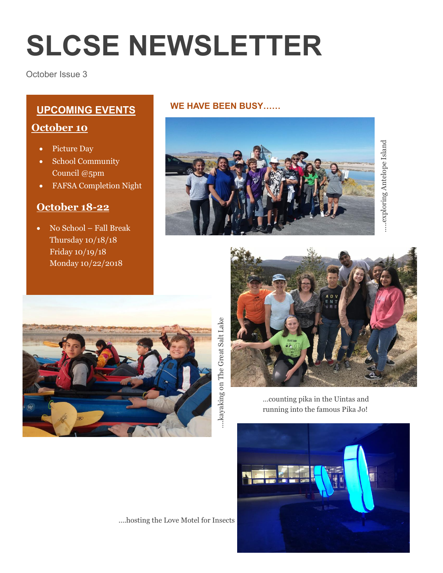# **SLCSE NEWSLETTER**

October Issue 3

# **WE HAVE BEEN BUSY…… UPCOMING EVENTS**

### **October 10**

- Picture Day
- School Community Council @5pm
- FAFSA Completion Night

## **October 18-22**

 No School – Fall Break Thursday 10/18/18 Friday 10/19/18 Monday 10/22/2018







...kayaking on The Great Salt Lake ….kayaking on The Great Salt Lake

…counting pika in the Uintas and running into the famous Pika Jo!



….hosting the Love Motel for Insects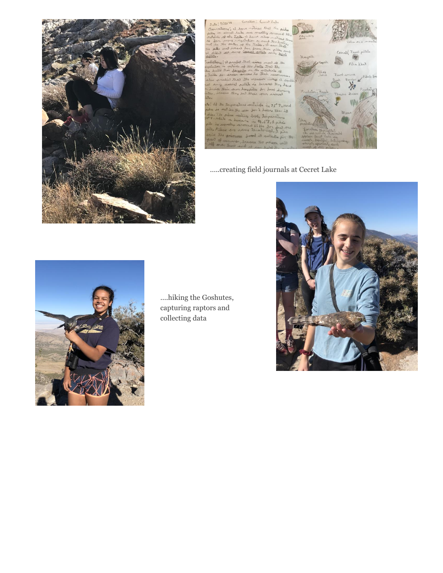

#### n: Ceret Lata  $9/20/18$

 $\mathbf{d}$ tecal

The  $\mathbf{B}$ the Der har

ماجأ is 75° F, run  $t = \infty$ 



#### .....creating field journals at Cecret Lake





....hiking the Goshutes, capturing raptors and collecting data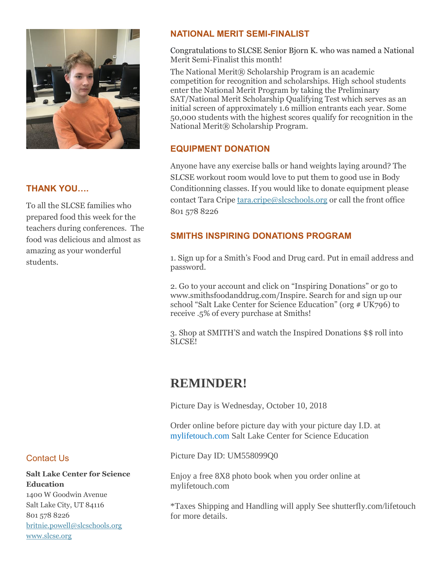

#### **THANK YOU….**

To all the SLCSE families who prepared food this week for the teachers during conferences. The food was delicious and almost as amazing as your wonderful students.

#### Contact Us

**Salt Lake Center for Science Education** 1400 W Goodwin Avenue Salt Lake City, UT 84116 801 578 8226 [britnie.powell@slcschools.org](mailto:britnie.powell@slcschools.org) [www.slcse.org](http://www.slcse.org/)

#### **NATIONAL MERIT SEMI-FINALIST**

Congratulations to SLCSE Senior Bjorn K. who was named a National Merit Semi-Finalist this month!

The National Merit® Scholarship Program is an academic competition for recognition and scholarships. High school students enter the National Merit Program by taking the Preliminary SAT/National Merit Scholarship Qualifying Test which serves as an initial screen of approximately 1.6 million entrants each year. Some 50,000 students with the highest scores qualify for recognition in the National Merit® Scholarship Program.

#### **EQUIPMENT DONATION**

Anyone have any exercise balls or hand weights laying around? The SLCSE workout room would love to put them to good use in Body Conditionning classes. If you would like to donate equipment please contact Tara Cripe  $\frac{\text{tar}}{\text{arc}}$  (exception of the front office 801 578 8226

#### **SMITHS INSPIRING DONATIONS PROGRAM**

1. Sign up for a Smith's Food and Drug card. Put in email address and password.

2. Go to your account and click on "Inspiring Donations" or go to www.smithsfoodanddrug.com/Inspire. Search for and sign up our school "Salt Lake Center for Science Education" (org # UK796) to receive .5% of every purchase at Smiths!

3. Shop at SMITH'S and watch the Inspired Donations \$\$ roll into SLCSE!

## **REMINDER!**

Picture Day is Wednesday, October 10, 2018

Order online before picture day with your picture day I.D. at mylifetouch.com Salt Lake Center for Science Education

Picture Day ID: UM558099Q0

Enjoy a free 8X8 photo book when you order online at mylifetouch.com

\*Taxes Shipping and Handling will apply See shutterfly.com/lifetouch for more details.